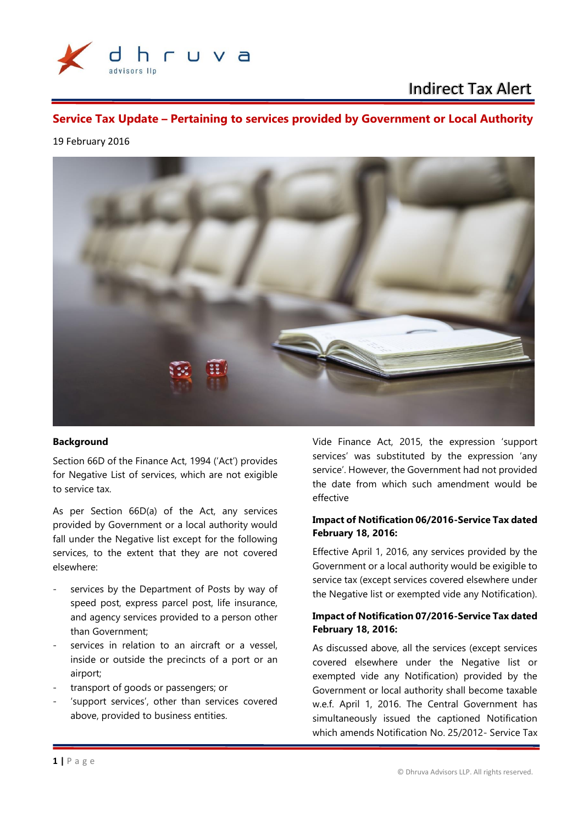

Indirect Tax Alert

**Service Tax Update – Pertaining to services provided by Government or Local Authority**

## 19 February 2016



#### **Background**

Section 66D of the Finance Act, 1994 ('Act') provides for Negative List of services, which are not exigible to service tax.

As per Section 66D(a) of the Act, any services provided by Government or a local authority would fall under the Negative list except for the following services, to the extent that they are not covered elsewhere:

- services by the Department of Posts by way of speed post, express parcel post, life insurance, and agency services provided to a person other than Government;
- services in relation to an aircraft or a vessel, inside or outside the precincts of a port or an airport;
- transport of goods or passengers; or
- 'support services', other than services covered above, provided to business entities.

Vide Finance Act, 2015, the expression 'support services' was substituted by the expression 'any service'. However, the Government had not provided the date from which such amendment would be effective

#### **Impact of Notification 06/2016-Service Tax dated February 18, 2016:**

Effective April 1, 2016, any services provided by the Government or a local authority would be exigible to service tax (except services covered elsewhere under the Negative list or exempted vide any Notification).

### **Impact of Notification 07/2016-Service Tax dated February 18, 2016:**

As discussed above, all the services (except services covered elsewhere under the Negative list or exempted vide any Notification) provided by the Government or local authority shall become taxable w.e.f. April 1, 2016. The Central Government has simultaneously issued the captioned Notification which amends Notification No. 25/2012- Service Tax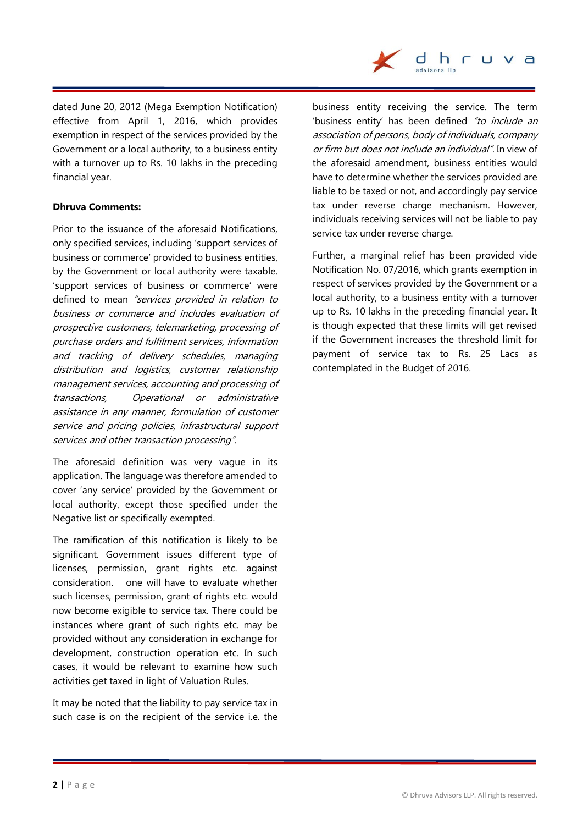

dated June 20, 2012 (Mega Exemption Notification) effective from April 1, 2016, which provides exemption in respect of the services provided by the Government or a local authority, to a business entity with a turnover up to Rs. 10 lakhs in the preceding financial year.

### **Dhruva Comments:**

Prior to the issuance of the aforesaid Notifications, only specified services, including 'support services of business or commerce' provided to business entities, by the Government or local authority were taxable. 'support services of business or commerce' were defined to mean "services provided in relation to business or commerce and includes evaluation of prospective customers, telemarketing, processing of purchase orders and fulfilment services, information and tracking of delivery schedules, managing distribution and logistics, customer relationship management services, accounting and processing of transactions, Operational or administrative assistance in any manner, formulation of customer service and pricing policies, infrastructural support services and other transaction processing".

The aforesaid definition was very vague in its application. The language was therefore amended to cover 'any service' provided by the Government or local authority, except those specified under the Negative list or specifically exempted.

The ramification of this notification is likely to be significant. Government issues different type of licenses, permission, grant rights etc. against consideration. one will have to evaluate whether such licenses, permission, grant of rights etc. would now become exigible to service tax. There could be instances where grant of such rights etc. may be provided without any consideration in exchange for development, construction operation etc. In such cases, it would be relevant to examine how such activities get taxed in light of Valuation Rules.

It may be noted that the liability to pay service tax in such case is on the recipient of the service i.e. the

business entity receiving the service. The term 'business entity' has been defined "to include an association of persons, body of individuals, company or firm but does not include an individual". In view of the aforesaid amendment, business entities would have to determine whether the services provided are liable to be taxed or not, and accordingly pay service tax under reverse charge mechanism. However, individuals receiving services will not be liable to pay service tax under reverse charge.

Further, a marginal relief has been provided vide Notification No. 07/2016, which grants exemption in respect of services provided by the Government or a local authority, to a business entity with a turnover up to Rs. 10 lakhs in the preceding financial year. It is though expected that these limits will get revised if the Government increases the threshold limit for payment of service tax to Rs. 25 Lacs as contemplated in the Budget of 2016.